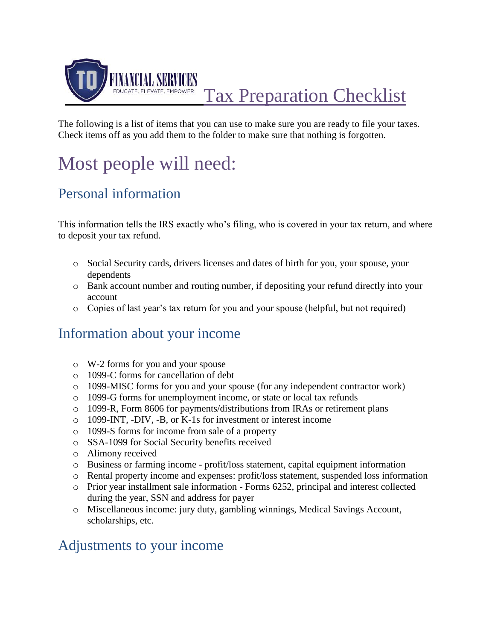

Tax Preparation Checklist

The following is a list of items that you can use to make sure you are ready to file your taxes. Check items off as you add them to the folder to make sure that nothing is forgotten.

# Most people will need:

## Personal information

This information tells the IRS exactly who's filing, who is covered in your tax return, and where to deposit your tax refund.

- o Social Security cards, drivers licenses and dates of birth for you, your spouse, your dependents
- o Bank account number and routing number, if depositing your refund directly into your account
- o Copies of last year's tax return for you and your spouse (helpful, but not required)

### Information about your income

- o W-2 forms for you and your spouse
- o 1099-C forms for cancellation of debt
- o 1099-MISC forms for you and your spouse (for any independent contractor work)
- o 1099-G forms for unemployment income, or state or local tax refunds
- o 1099-R, Form 8606 for payments/distributions from IRAs or retirement plans
- o 1099-INT, -DIV, -B, or K-1s for investment or interest income
- o 1099-S forms for income from sale of a property
- o SSA-1099 for Social Security benefits received
- o Alimony received
- o Business or farming income profit/loss statement, capital equipment information
- o Rental property income and expenses: profit/loss statement, suspended loss information
- $\circ$  Prior year installment sale information Forms 6252, principal and interest collected during the year, SSN and address for payer
- o Miscellaneous income: jury duty, gambling winnings, Medical Savings Account, scholarships, etc.

#### Adjustments to your income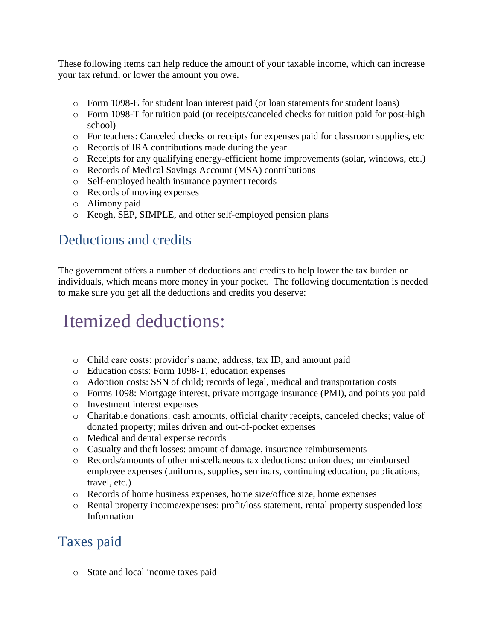These following items can help reduce the amount of your taxable income, which can increase your tax refund, or lower the amount you owe.

- o Form 1098-E for student loan interest paid (or loan statements for student loans)
- o Form 1098-T for tuition paid (or receipts/canceled checks for tuition paid for post-high school)
- o For teachers: Canceled checks or receipts for expenses paid for classroom supplies, etc
- o Records of IRA contributions made during the year
- o Receipts for any qualifying energy-efficient home improvements (solar, windows, etc.)
- o Records of Medical Savings Account (MSA) contributions
- o Self-employed health insurance payment records
- o Records of moving expenses
- o Alimony paid
- o Keogh, SEP, SIMPLE, and other self-employed pension plans

#### Deductions and credits

The government offers a number of deductions and credits to help lower the tax burden on individuals, which means more money in your pocket. The following documentation is needed to make sure you get all the deductions and credits you deserve:

## Itemized deductions:

- o Child care costs: provider's name, address, tax ID, and amount paid
- o Education costs: Form 1098-T, education expenses
- o Adoption costs: SSN of child; records of legal, medical and transportation costs
- o Forms 1098: Mortgage interest, private mortgage insurance (PMI), and points you paid
- o Investment interest expenses
- o Charitable donations: cash amounts, official charity receipts, canceled checks; value of donated property; miles driven and out-of-pocket expenses
- o Medical and dental expense records
- o Casualty and theft losses: amount of damage, insurance reimbursements
- o Records/amounts of other miscellaneous tax deductions: union dues; unreimbursed employee expenses (uniforms, supplies, seminars, continuing education, publications, travel, etc.)
- o Records of home business expenses, home size/office size, home expenses
- o Rental property income/expenses: profit/loss statement, rental property suspended loss Information

#### Taxes paid

o State and local income taxes paid